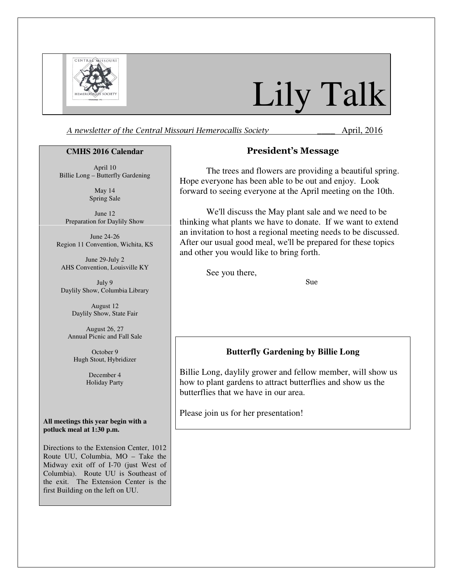

# Lily Talk

A newsletter of the Central Missouri Hemerocallis Society **April**, 2016

#### **CMHS 2016 Calendar**

April 10 Billie Long – Butterfly Gardening

> May 14 Spring Sale

June 12 Preparation for Daylily Show

June 24-26 Region 11 Convention, Wichita, KS

June 29-July 2 AHS Convention, Louisville KY

July 9 Daylily Show, Columbia Library

> August 12 Daylily Show, State Fair

August 26, 27 Annual Picnic and Fall Sale

October 9 Hugh Stout, Hybridizer

> December 4 Holiday Party

**All meetings this year begin with a potluck meal at 1:30 p.m.** 

Directions to the Extension Center, 1012 Route UU, Columbia, MO – Take the Midway exit off of I-70 (just West of Columbia). Route UU is Southeast of the exit. The Extension Center is the first Building on the left on UU.

# President's Message

The trees and flowers are providing a beautiful spring. Hope everyone has been able to be out and enjoy. Look forward to seeing everyone at the April meeting on the 10th.

We'll discuss the May plant sale and we need to be thinking what plants we have to donate. If we want to extend an invitation to host a regional meeting needs to be discussed. After our usual good meal, we'll be prepared for these topics and other you would like to bring forth.

See you there,

Sue

## **Butterfly Gardening by Billie Long**

Billie Long, daylily grower and fellow member, will show us how to plant gardens to attract butterflies and show us the butterflies that we have in our area.

Please join us for her presentation!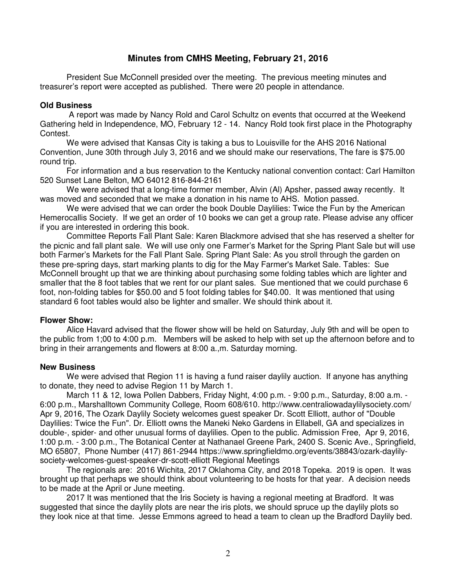# **Minutes from CMHS Meeting, February 21, 2016**

President Sue McConnell presided over the meeting. The previous meeting minutes and treasurer's report were accepted as published. There were 20 people in attendance.

## **Old Business**

 A report was made by Nancy Rold and Carol Schultz on events that occurred at the Weekend Gathering held in Independence, MO, February 12 - 14. Nancy Rold took first place in the Photography Contest.

We were advised that Kansas City is taking a bus to Louisville for the AHS 2016 National Convention, June 30th through July 3, 2016 and we should make our reservations, The fare is \$75.00 round trip.

For information and a bus reservation to the Kentucky national convention contact: Carl Hamilton 520 Sunset Lane Belton, MO 64012 816-844-2161

We were advised that a long-time former member, Alvin (Al) Apsher, passed away recently. It was moved and seconded that we make a donation in his name to AHS. Motion passed.

We were advised that we can order the book Double Daylilies: Twice the Fun by the American Hemerocallis Society. If we get an order of 10 books we can get a group rate. Please advise any officer if you are interested in ordering this book.

Committee Reports Fall Plant Sale: Karen Blackmore advised that she has reserved a shelter for the picnic and fall plant sale. We will use only one Farmer's Market for the Spring Plant Sale but will use both Farmer's Markets for the Fall Plant Sale. Spring Plant Sale: As you stroll through the garden on these pre-spring days, start marking plants to dig for the May Farmer's Market Sale. Tables: Sue McConnell brought up that we are thinking about purchasing some folding tables which are lighter and smaller that the 8 foot tables that we rent for our plant sales. Sue mentioned that we could purchase 6 foot, non-folding tables for \$50.00 and 5 foot folding tables for \$40.00. It was mentioned that using standard 6 foot tables would also be lighter and smaller. We should think about it.

## **Flower Show:**

Alice Havard advised that the flower show will be held on Saturday, July 9th and will be open to the public from 1;00 to 4:00 p.m. Members will be asked to help with set up the afternoon before and to bring in their arrangements and flowers at 8:00 a.,m. Saturday morning.

## **New Business**

We were advised that Region 11 is having a fund raiser daylily auction. If anyone has anything to donate, they need to advise Region 11 by March 1.

March 11 & 12, Iowa Pollen Dabbers, Friday Night, 4:00 p.m. - 9:00 p.m., Saturday, 8:00 a.m. - 6:00 p.m., Marshalltown Community College, Room 608/610. http://www.centraliowadaylilysociety.com/ Apr 9, 2016, The Ozark Daylily Society welcomes guest speaker Dr. Scott Elliott, author of "Double Daylilies: Twice the Fun". Dr. Elliott owns the Maneki Neko Gardens in Ellabell, GA and specializes in double-, spider- and other unusual forms of daylilies. Open to the public. Admission Free, Apr 9, 2016, 1:00 p.m. - 3:00 p.m., The Botanical Center at Nathanael Greene Park, 2400 S. Scenic Ave., Springfield, MO 65807, Phone Number (417) 861-2944 https://www.springfieldmo.org/events/38843/ozark-daylilysociety-welcomes-guest-speaker-dr-scott-elliott Regional Meetings

The regionals are: 2016 Wichita, 2017 Oklahoma City, and 2018 Topeka. 2019 is open. It was brought up that perhaps we should think about volunteering to be hosts for that year. A decision needs to be made at the April or June meeting.

2017 It was mentioned that the Iris Society is having a regional meeting at Bradford. It was suggested that since the daylily plots are near the iris plots, we should spruce up the daylily plots so they look nice at that time. Jesse Emmons agreed to head a team to clean up the Bradford Daylily bed.